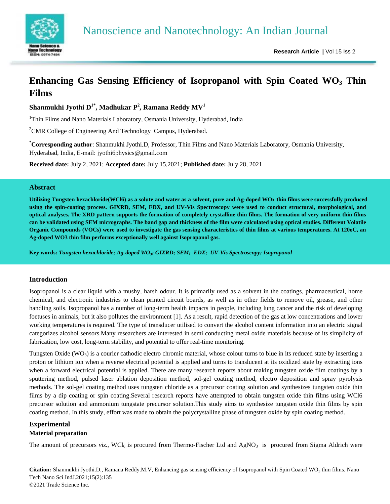

# **Enhancing Gas Sensing Efficiency of Isopropanol with Spin Coated WO<sup>3</sup> Thin Films**

 ${\bf Shanmukhi}$  Jyothi  ${\bf D}^{1*},$  Madhukar  ${\bf P}^2,$  Ramana Reddy  ${\bf M}{\bf V}^1$ 

<sup>1</sup>Thin Films and Nano Materials Laboratory, Osmania University, Hyderabad, India

<sup>2</sup>CMR College of Engineering And Technology Campus, Hyderabad.

**\*Corresponding author**: Shanmukhi Jyothi.D, Professor, Thin Films and Nano Materials Laboratory, Osmania University, Hyderabad, India, E-mail: jyothi6physics@gmail.com

**Received date:** July 2, 2021; **Accepted date:** July 15,2021; **Published date:** July 28, 2021

## **Abstract**

**Utilizing Tungsten hexachloride(WCl6) as a solute and water as a solvent, pure and Ag-doped WO3 thin films were successfully produced using the spin-coating process. GIXRD, SEM, EDX, and UV-Vis Spectroscopy were used to conduct structural, morphological, and optical analyses. The XRD pattern supports the formation of completely crystalline thin films. The formation of very uniform thin films can be validated using SEM micrographs. The band gap and thickness of the film were calculated using optical studies. Different Volatile Organic Compounds (VOCs) were used to investigate the gas sensing characteristics of thin films at various temperatures. At 120oC, an Ag-doped WO3 thin film performs exceptionally well against Isopropanol gas.**

**Key words:** *Tungsten hexachloride; Ag-doped WO3; GIXRD; SEM; EDX; UV-Vis Spectroscopy; Isopropanol*

# **Introduction**

Isopropanol is a clear liquid with a mushy, harsh odour. It is primarily used as a solvent in the coatings, pharmaceutical, home chemical, and electronic industries to clean printed circuit boards, as well as in other fields to remove oil, grease, and other handling soils. Isopropanol has a number of long-term health impacts in people, including lung cancer and the risk of developing foetuses in animals, but it also pollutes the environment [1]. As a result, rapid detection of the gas at low concentrations and lower working temperatures is required. The type of transducer utilised to convert the alcohol content information into an electric signal categorizes alcohol sensors.Many researchers are interested in semi conducting metal oxide materials because of its simplicity of fabrication, low cost, long-term stability, and potential to offer real-time monitoring.

Tungsten Oxide ( $WO<sub>3</sub>$ ) is a courier cathodic electro chromic material, whose colour turns to blue in its reduced state by inserting a proton or lithium ion when a reverse electrical potential is applied and turns to translucent at its oxidized state by extracting ions when a forward electrical potential is applied. There are many research reports about making tungsten oxide film coatings by a sputtering method, pulsed laser ablation deposition method, sol-gel coating method, electro deposition and spray pyrolysis methods. The sol-gel coating method uses tungsten chloride as a precursor coating solution and synthesizes tungsten oxide thin films by a dip coating or spin coating.Several research reports have attempted to obtain tungsten oxide thin films using WCl6 precursor solution and ammonium tungstate precursor solution.This study aims to synthesize tungsten oxide thin films by spin coating method. In this study, effort was made to obtain the polycrystalline phase of tungsten oxide by spin coating method.

# **Experimental**

# **Material preparation**

The amount of precursors *viz.*, WCl<sub>6</sub> is procured from Thermo-Fischer Ltd and  $AgNO<sub>3</sub>$  is procured from Sigma Aldrich were

**Citation:** Shanmukhi Jyothi.D., Ramana Reddy.M.V, Enhancing gas sensing efficiency of Isopropanol with Spin Coated WO<sub>3</sub> thin films. Nano Tech Nano Sci IndJ.2021;15(2):135 ©2021 Trade Science Inc.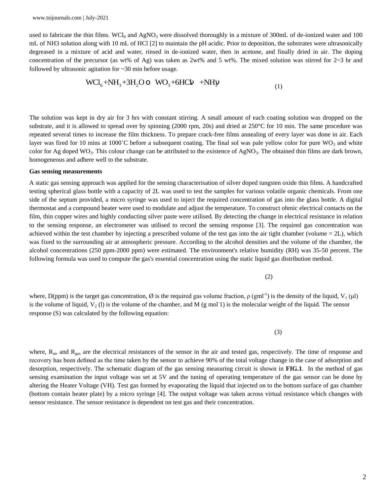used to fabricate the thin films.  $WCl_6$  and  $AgNO_3$  were dissolved thoroughly in a mixture of 300mL of de-ionized water and 100 mL of NH3 solution along with 10 mL of HCl [2] to maintain the pH acidic. Prior to deposition, the substrates were ultrasonically degreased in a mixture of acid and water, rinsed in de-ionized water, then in acetone, and finally dried in air. The doping concentration of the precursor (as wt% of Ag) was taken as 2wt% and 5 wt%. The mixed solution was stirred for  $2~3$  hr and followed by ultrasonic agitation for ~30 min before usage.

$$
WCl_{6} + NH_{3} + 3H_{2}Oo \quad WO_{3} + 6HCh \quad + NH_{1}
$$
\n<sup>(1)</sup>

The solution was kept in dry air for 3 hrs with constant stirring. A small amount of each coating solution was dropped on the substrate, and it is allowed to spread over by spinning (2000 rpm, 20s) and dried at 250°C for 10 min. The same procedure was repeated several times to increase the film thickness. To prepare crack-free films annealing of every layer was done in air. Each layer was fired for 10 mins at 1000°C before a subsequent coating. The final sol was pale yellow color for pure  $WO_3$  and white color for Ag doped WO<sub>3</sub>. This colour change can be attributed to the existence of AgNO<sub>3</sub>. The obtained thin films are dark brown, homogeneous and adhere well to the substrate.

## **Gas sensing measurements**

A static gas sensing approach was applied for the sensing characterisation of silver doped tungsten oxide thin films. A handcrafted testing spherical glass bottle with a capacity of 2L was used to test the samples for various volatile organic chemicals. From one side of the septum provided, a micro syringe was used to inject the required concentration of gas into the glass bottle. A digital thermostat and a compound heater were used to modulate and adjust the temperature. To construct ohmic electrical contacts on the film, thin copper wires and highly conducting silver paste were utilised. By detecting the change in electrical resistance in relation to the sensing response, an electrometer was utilised to record the sensing response [3]. The required gas concentration was achieved within the test chamber by injecting a prescribed volume of the test gas into the air tight chamber (volume  $= 2L$ ), which was fixed to the surrounding air at atmospheric pressure. According to the alcohol densities and the volume of the chamber, the alcohol concentrations (250 ppm-2000 ppm) were estimated. The environment's relative humidity (RH) was 35-50 percent. The following formula was used to compute the gas's essential concentration using the static liquid gas distribution method.

where, D(ppm) is the target gas concentration,  $\emptyset$  is the required gas volume fraction,  $\rho$  (gml<sup>-1</sup>) is the density of the liquid, V<sub>1</sub> (µl) is the volume of liquid,  $V_2$  (1) is the volume of the chamber, and M (g mol<sup>-1</sup>) is the molecular weight of the liquid. The sensor response (S) was calculated by the following equation:

 $\overline{3}$ 

(2)

where,  $R_{air}$  and  $R_{gas}$  are the electrical resistances of the sensor in the air and tested gas, respectively. The time of response and recovery has been defined as the time taken by the sensor to achieve 90% of the total voltage change in the case of adsorption and desorption, respectively. The schematic diagram of the gas sensing measuring circuit is shown in **FIG.1**. In the method of gas sensing examination the input voltage was set at 5V and the tuning of operating temperature of the gas sensor can be done by altering the Heater Voltage (VH). Test gas formed by evaporating the liquid that injected on to the bottom surface of gas chamber (bottom contain heater plate) by a micro syringe [4]. The output voltage was taken across virtual resistance which changes with sensor resistance. The sensor resistance is dependent on test gas and their concentration.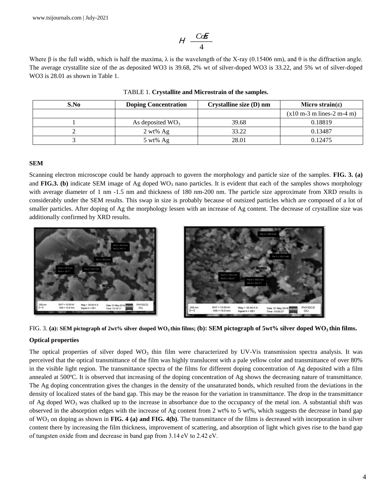$$
H \frac{C \alpha \mathcal{E}}{4}
$$

Where  $\beta$  is the full width, which is half the maxima,  $\lambda$  is the wavelength of the X-ray (0.15406 nm), and  $\theta$  is the diffraction angle. The average crystallite size of the as deposited WO3 is 39.68, 2% wt of silver-doped WO3 is 33.22, and 5% wt of silver-doped WO3 is 28.01 as shown in Table 1.

| S.No | <b>Doping Concentration</b> | Crystalline size $(D)$ nm | Micro strain(ε)             |
|------|-----------------------------|---------------------------|-----------------------------|
|      |                             |                           | $(x10 m-3 m lines-2 m-4 m)$ |
|      | As deposited $WO_3$         | 39.68                     | 0.18819                     |
|      | $2 \text{ wt\% } Ag$        | 33.22                     | 0.13487                     |
|      | $5 \text{ wt\%}$ Ag         | 28.01                     | 0.12475                     |

TABLE 1. **Crystallite and Microstrain of the samples.**

## **SEM**

Scanning electron microscope could be handy approach to govern the morphology and particle size of the samples. **FIG. 3. (a)** and **FIG.3. (b)** indicate SEM image of Ag doped  $WO_3$  nano particles. It is evident that each of the samples shows morphology with average diameter of 1 nm -1.5 nm and thickness of 180 nm-200 nm. The particle size approximate from XRD results is considerably under the SEM results. This swap in size is probably because of outsized particles which are composed of a lot of smaller particles. After doping of Ag the morphology lessen with an increase of Ag content. The decrease of crystalline size was additionally confirmed by XRD results.





# **Optical properties**

The optical properties of silver doped  $WO_3$  thin film were characterized by UV-Vis transmission spectra analysis. It was perceived that the optical transmittance of the film was highly translucent with a pale yellow color and transmittance of over 80% in the visible light region. The transmittance spectra of the films for different doping concentration of Ag deposited with a film annealed at 500ºC. It is observed that increasing of the doping concentration of Ag shows the decreasing nature of transmittance. The Ag doping concentration gives the changes in the density of the unsaturated bonds, which resulted from the deviations in the density of localized states of the band gap. This may be the reason for the variation in transmittance. The drop in the transmittance of Ag doped  $WO_3$  was chalked up to the increase in absorbance due to the occupancy of the metal ion. A substantial shift was observed in the absorption edges with the increase of Ag content from 2 wt% to 5 wt%, which suggests the decrease in band gap of  $WO_3$  on doping as shown in **FIG.** 4 (a) and **FIG.** 4(b). The transmittance of the films is decreased with incorporation in silver content there by increasing the film thickness, improvement of scattering, and absorption of light which gives rise to the band gap of tungsten oxide from and decrease in band gap from 3.14 eV to 2.42 eV.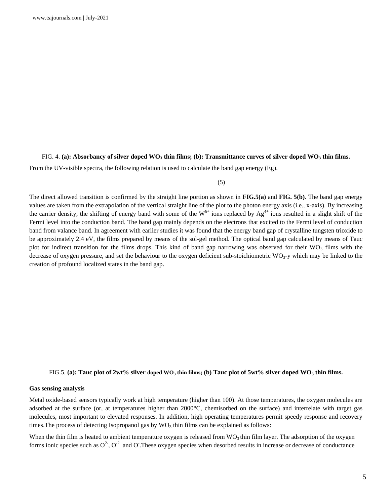## FIG. 4. **(a): Absorbancy of silver doped WO<sup>3</sup> thin films; (b): Transmittance curves of silver doped WO<sup>3</sup> thin films.**

From the UV-visible spectra, the following relation is used to calculate the band gap energy (Eg).

(5)

The direct allowed transition is confirmed by the straight line portion as shown in **FIG.5(a)** and **FIG. 5(b)**. The band gap energy values are taken from the extrapolation of the vertical straight line of the plot to the photon energy axis (i.e., x-axis). By increasing the carrier density, the shifting of energy band with some of the  $W^{6+}$  ions replaced by  $Ag^{4+}$  ions resulted in a slight shift of the Fermi level into the conduction band. The band gap mainly depends on the electrons that excited to the Fermi level of conduction band from valance band. In agreement with earlier studies it was found that the energy band gap of crystalline tungsten trioxide to be approximately 2.4 eV, the films prepared by means of the sol-gel method. The optical band gap calculated by means of Tauc plot for indirect transition for the films drops. This kind of band gap narrowing was observed for their  $WO_3$  films with the decrease of oxygen pressure, and set the behaviour to the oxygen deficient sub-stoichiometric  $WO<sub>3</sub>$ -y which may be linked to the creation of profound localized states in the band gap.

### FIG.5. **(a): Tauc plot of 2wt% silver doped WO<sup>3</sup> thin films; (b) Tauc plot of 5wt% silver doped WO<sup>3</sup> thin films.**

### **Gas sensing analysis**

Metal oxide-based sensors typically work at high temperature (higher than 100). At those temperatures, the oxygen molecules are adsorbed at the surface (or, at temperatures higher than 2000°C, chemisorbed on the surface) and interrelate with target gas molecules, most important to elevated responses. In addition, high operating temperatures permit speedy response and recovery times. The process of detecting Isopropanol gas by  $WO_3$  thin films can be explained as follows:

When the thin film is heated to ambient temperature oxygen is released from  $WO_3$  thin film layer. The adsorption of the oxygen forms ionic species such as  $O^2$ ,  $O^2$  and O. These oxygen species when desorbed results in increase or decrease of conductance